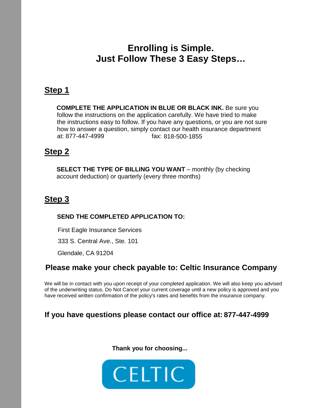# **Enrolling is Simple. Just Follow These 3 Easy Steps…**

# **Step 1**

 **COMPLETE THE APPLICATION IN BLUE OR BLACK INK.** Be sure you follow the instructions on the application carefully. We have tried to make the instructions easy to follow. If you have any questions, or you are not sure how to answer a question, simply contact our health insurance department at: 877-447-4999 fax: 818-500-1855

# **Step 2**

**SELECT THE TYPE OF BILLING YOU WANT** – monthly (by checking account deduction) or quarterly (every three months)

# **Step 3**

# **SEND THE COMPLETED APPLICATION TO:**

First Eagle Insurance Services

333 S. Central Ave., Ste. 101

Glendale, CA 91204

# **Please make your check payable to: Celtic Insurance Company**

 We will be in contact with you upon receipt of your completed application. We will also keep you advised of the underwriting status. Do Not Cancel your current coverage until a new policy is approved and you have received written confirmation of the policy's rates and benefits from the insurance company.

# **If you have questions please contact our office at: 877-447-4999**

 **Thank you for choosing...** 

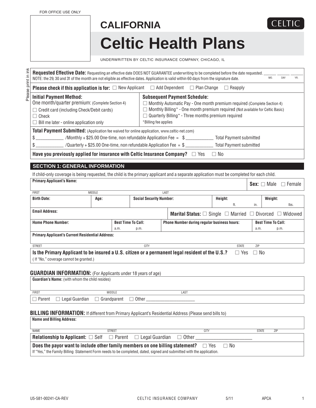FOR OFFICE USE ONLY

言

Please print in

# **CALIFORNIA Celtic Health Plans**

UNDERWRITTEN BY CELTIC INSURANCE COMPANY, CHICAGO, IL

If child-only coverage is being requested, the child is the primary applicant and a separate application must be completed for each child. **Requested Effective Date:** Requesting an effective date DOES NOT GUARANTEE underwriting to be completed before the date requested. \_\_\_\_\_\_/\_\_\_\_\_\_/\_\_\_\_\_\_ NOTE: the 29, 30 and 31 of the month are not eligible as effective dates. Application is valid within 60 days from the signature date. **Please check if this application is for:**  $\Box$  New Applicant  $\Box$  Add Dependent  $\Box$  Plan Change  $\Box$  Reapply FIRST MIDDLE LAST **Guardian's Name:** (with whom the child resides) **GUARDIAN INFORMATION:** (For Applicants under 18 years of age) **Primary Applicant's Name:** FIRST MIDDLE LAST **SECTION 1: GENERAL INFORMATION** Please print in ink **Sex:** □ Male □ Female NAME STREET CITY STATE ZIP **Name and Billing Address: BILLING INFORMATION:** If different from Primary Applicant's Residential Address (Please send bills to) **Is the Primary Applicant to be insured a U.S. citizen or a permanent legal resident of the U.S.?**  $Yes \square No$ ( If "No," coverage cannot be granted.) **Subsequent Payment Schedule:** - Monthly Automatic Pay - One month premium required (Complete Section 4)  $\Box$  Monthly Billing\* - One month premium required (Not available for Celtic Basic)  $\Box$  Monthly Billing\* - Three months premium required (No.  $\Box$ ) \*Billing fee applies **Initial Payment Method:**  One month/quarter premium: (Complete Section 4) -Credit card (including Check/Debit cards) -Check  $\Box$  Bill me later - online application only **Total Payment Submitted:** (Application fee waived for online application, www.celtic-net.com) \$ \_\_\_\_\_\_\_\_\_\_\_\_ /Monthly + \$25.00 One-time, non refundable Application Fee = \$ \_\_\_\_\_\_\_\_\_\_\_\_ Total Payment submitted \$ \_\_\_\_\_\_\_\_\_\_\_\_ /Quarterly + \$25.00 One-time, non refundable Application Fee = \$ \_\_\_\_\_\_\_\_\_\_\_\_ Total Payment submitted Have you previously applied for insurance with Celtic Insurance Company?  $\Box$  Yes  $\Box$  No STREET EXAMPLE TO A STATE STATE A STATE A STATE OF THE STATE AND STATE STATE STATE STATE STATE A STATE STATE S **Relationship to Applicant:** -Self -Parent -Legal Guardian - Other \_\_\_\_\_\_\_\_\_\_\_\_\_\_\_\_\_\_\_\_\_\_ **Does the payor want to include other family members on one billing statement?**  $\Box$  Yes  $\Box$  $\Box$  No  $\overline{\Box}$  Parent  $\Box$  $\Box$  Legal Guardian MIDDLE<br>
Grandparent  $\Box$  Other **Birth Date: Age: Age: Age: Social Security Number: Height: Height: Weight:**  $\mathsf{f}\mathsf{t}$ . In. lbs.  $\mathsf{f}\mathsf{t}$ . In. lbs. **Email Address:**<br> **Marital Status:** □ Single □ Married □ Divorced □ Widowed **Home Phone Number: Best Time To Call: Phone Number during regular business hours: Best Time To Call:**  $\vert$  a.m. p.m.  $\vert$  a.m. p.m.  $\vert$  a.m. p.m. **Primary Applicant's Current Residential Address:**

If "Yes," the Family Billing Statement Form needs to be completed, dated, signed and submitted with the application.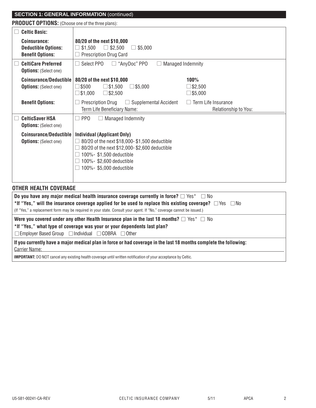| <b>SECTION 1: GENERAL INFORMATION (continued)</b>                     |                                                                                                                                                                                                                       |                                             |  |  |  |
|-----------------------------------------------------------------------|-----------------------------------------------------------------------------------------------------------------------------------------------------------------------------------------------------------------------|---------------------------------------------|--|--|--|
|                                                                       | <b>PRODUCT OPTIONS:</b> (Choose one of the three plans):                                                                                                                                                              |                                             |  |  |  |
| <b>Celtic Basic:</b>                                                  |                                                                                                                                                                                                                       |                                             |  |  |  |
| Coinsurance:<br><b>Deductible Options:</b><br><b>Benefit Options:</b> | 80/20 of the next \$10,000<br>\$1,500<br>$\Box$ \$2,500<br>$\Box$ \$5,000<br><b>Prescription Drug Card</b>                                                                                                            |                                             |  |  |  |
| <b>CeltiCare Preferred</b><br><b>Options: (Select one)</b>            | "AnyDoc" PPO<br>Select PPO<br>Managed Indemnity                                                                                                                                                                       |                                             |  |  |  |
| Coinsurance/Deductible<br><b>Options: (Select one)</b>                | 80/20 of the next \$10,000<br>$\square$ \$500<br>$\square$ \$1,500<br>$\square$ \$5,000<br>$\Box$ \$1,000<br>$\square$ \$2,500                                                                                        | 100%<br>32,500<br>$\Box$ \$5,000            |  |  |  |
| <b>Benefit Options:</b>                                               | <b>Prescription Drug</b><br><b>Supplemental Accident</b><br>$\Box$<br>Term Life Beneficiary Name:                                                                                                                     | Term Life Insurance<br>Relationship to You: |  |  |  |
| <b>CelticSaver HSA</b><br><b>Options: (Select one)</b>                | PP <sub>0</sub><br><b>Managed Indemnity</b>                                                                                                                                                                           |                                             |  |  |  |
| Coinsurance/Deductible<br><b>Options: (Select one)</b>                | <b>Individual (Applicant Only)</b><br>80/20 of the next \$18,000-\$1,500 deductible<br>80/20 of the next \$12,000-\$2,600 deductible<br>100%-\$1,500 deductible<br>100%-\$2,600 deductible<br>100%-\$5,000 deductible |                                             |  |  |  |

# **OTHER HEALTH COVERAGE**

| Do you have any major medical health insurance coverage currently in force? $\square$ Yes* $\square$ No<br>*If "Yes," will the insurance coverage applied for be used to replace this existing coverage? $\Box$ Yes $\Box$ No<br>(If "Yes," a replacement form may be required in your state. Consult your agent. If "No," coverage cannot be issued.) |  |  |  |  |
|--------------------------------------------------------------------------------------------------------------------------------------------------------------------------------------------------------------------------------------------------------------------------------------------------------------------------------------------------------|--|--|--|--|
| Were you covered under any other Health Insurance plan in the last 18 months? $\square$ Yes $^*$ $\square$ No<br>*If "Yes," what type of coverage was your or your dependents last plan?<br>$\Box$ Employer Based Group $\Box$ Individual $\Box$ COBRA $\Box$ Other                                                                                    |  |  |  |  |
| If you currently have a major medical plan in force or had coverage in the last 18 months complete the following:<br>Carrier Name:<br><b>IMPORTANT:</b> DO NOT cancel any existing health coverage until written notification of your acceptance by Celtic.                                                                                            |  |  |  |  |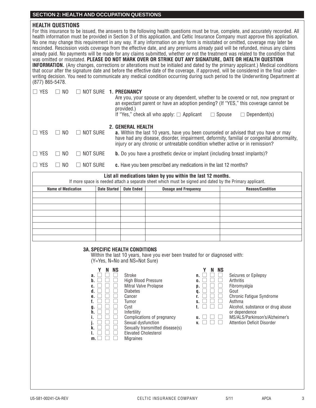## **SECTION 2: HEALTH AND OCCUPATION QUESTIONS**

## **HEALTH QUESTIONS** For this insurance to be issued, the answers to the following health questions must be true, complete, and accurately recorded. All health information must be provided in Section 3 of this application, and Celtic Insurance Company must approve this application. No one may change this requirement in any way. If any information on any form is misstated or omitted, coverage may later be rescinded. Rescission voids coverage from the effective date, and any premiums already paid will be refunded, minus any claims already paid. No payments will be made for any claims submitted, whether or not the treatment was related to the condition that was omitted or misstated. **PLEASE DO NOT MARK OVER OR STRIKE OUT ANY SIGNATURE, DATE OR HEALTH QUESTION INFORMATION.** (Any changes, corrections or alterations must be initialed and dated by the primary applicant.) Medical conditions that occur after the signature date and before the effective date of the coverage, if approved, will be considered in the final underwriting decision. You need to communicate any medical condition occurring during such period to the Underwriting Department at (877) 865-5478.  $\Box$  YES  $\Box$  $\Box$  NO NOT SURE **1. PREGNANCY** Are you, your spouse or any dependent, whether to be covered or not, now pregnant or an expectant parent or have an adoption pending? (If "YES," this coverage cannot be provided.) provided.)<br>If "Yes," check all who apply:  $\Box$  Applicant  $\hskip10mm \Box$  $\Box$  Spouse  $\Box$  Dependent(s) **2. GENERAL HEALTH**  $\Box$  YES  $\Box$  $\Box$  NO  $\Box$  NOT SURE a. Within the last 10 years, have you been counseled or advised that you have or may have had any disease, disorder, impairment, deformity, familial or congenital abnormality, injury or any chronic or untreatable condition whether active or in remission?  $\Box$  YES  $\Box$  $\Box$  NO  $\Box$  NOT SURE **b.** Do you have a prosthetic device or implant (including breast implants)?  $\Box$  YES  $\Box$  $\Box$  NO  $\Box$  NOT SURE **c.** Have you been prescribed any medications in the last 12 months? **3A. SPECIFIC HEALTH CONDITIONS** Within the last 10 years, have you ever been treated for or diagnosed with: (Y=Yes, N=No and NS=Not Sure) **Y N NS Y N NS List all medications taken by you within the last 12 months.**  If more space is needed attach a separate sheet which must be signed and dated by the Primary applicant. **Name of Medication Mate Started | Date Ended | Dosage and Frequency | Reason/Condition | Reason**

| <b>Diabetes</b><br>d.<br>Gout<br>q.<br>Chronic Fatigue Syndrome<br>Cancer<br>e.<br>Asthma<br>Tumor<br>S.<br>ι.<br>Cyst<br>Alcohol, substance or drug abuse<br>g.<br>h.<br>Infertility<br>or dependence<br>MS/ALS/Parkinson's/Alzheimer's<br>Complications of pregnancy<br>u.<br>Sexual dysfunction<br><b>Attention Deficit Disorder</b><br>V.<br>Sexually transmitted disease(s)<br>k.<br><b>Elevated Cholesterol</b><br>ι.<br><b>Migraines</b><br>m. |  | Υ<br>N<br><b>NS</b><br>a.<br>b.<br>C. | Stroke<br>High Blood Pressure<br>Mitral Valve Prolapse | Υ<br><b>NS</b><br>N<br>n.<br>0<br>p | Seizures or Epilepsy<br>Arthritis<br>Fibromyalgia |
|-------------------------------------------------------------------------------------------------------------------------------------------------------------------------------------------------------------------------------------------------------------------------------------------------------------------------------------------------------------------------------------------------------------------------------------------------------|--|---------------------------------------|--------------------------------------------------------|-------------------------------------|---------------------------------------------------|
|-------------------------------------------------------------------------------------------------------------------------------------------------------------------------------------------------------------------------------------------------------------------------------------------------------------------------------------------------------------------------------------------------------------------------------------------------------|--|---------------------------------------|--------------------------------------------------------|-------------------------------------|---------------------------------------------------|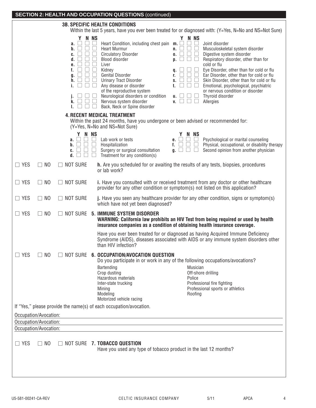| <b>3B. SPECIFIC HEALTH CONDITIONS</b><br>Within the last 5 years, have you ever been treated for or diagnosed with: (Y=Yes, N=No and NS=Not Sure)                                                                                                                                                                                                                                                                                                                                                                                                                                                                                                                                                                                                                                                                                                                                                                                                                                                                                              |  |  |  |  |  |
|------------------------------------------------------------------------------------------------------------------------------------------------------------------------------------------------------------------------------------------------------------------------------------------------------------------------------------------------------------------------------------------------------------------------------------------------------------------------------------------------------------------------------------------------------------------------------------------------------------------------------------------------------------------------------------------------------------------------------------------------------------------------------------------------------------------------------------------------------------------------------------------------------------------------------------------------------------------------------------------------------------------------------------------------|--|--|--|--|--|
| Y N NS<br>Y N NS<br>$\Box$<br>$\Box$<br>Heart Condition, including chest pain m.<br>$\Box$<br>Joint disorder<br>a.<br><b>Heart Murmur</b><br>Musculoskeletal system disorder<br>b.<br>n.<br><b>Circulatory Disorder</b><br>$\Box$<br>$\perp$<br>Digestive system disorder<br>□<br>$\Box$<br>C.<br>0.<br>$p. \Box \Box \Box$<br>Blood disorder<br>Respiratory disorder, other than for<br>d.<br>Liver<br>cold or flu<br>e.<br>Eye Disorder, other than for cold or flu<br>f.<br>Kidney<br>q.<br><b>Genital Disorder</b><br>Ear Disorder, other than for cold or flu<br>g.<br>r.<br><b>Urinary Tract Disorder</b><br>Skin Disorder, other than for cold or flu<br>h.<br>S.<br>Any disease or disorder<br>Emotional, psychological, psychiatric<br>i.<br>t.<br>of the reproductive system<br>or nervous condition or disorder<br>Neurological disorders or condition<br>Thyroid disorder<br>u.<br>Nervous system disorder<br>Allergies<br>k.<br>$\mathsf{v}$ . $\Box$<br>Back, Neck or Spine disorder<br>I.<br><b>4. RECENT MEDICAL TREATMENT</b> |  |  |  |  |  |
| Within the past 24 months, have you undergone or been advised or recommended for:<br>(Y=Yes, N=No and NS=Not Sure)                                                                                                                                                                                                                                                                                                                                                                                                                                                                                                                                                                                                                                                                                                                                                                                                                                                                                                                             |  |  |  |  |  |
| Y N NS<br>Y N NS<br>Lab work or tests<br>Psychological or marital counseling<br>a.    <br>$\Box$<br>e.<br>Hospitalization<br>Physical, occupational, or disability therapy<br>$\mathsf{b}$ . $\Box$<br>⊔<br>$\Box$<br>f. II<br>⊔<br>Surgery or surgical consultation<br>Second opinion from another physician<br>$\Box$<br>$\Box$<br>$\mathfrak{a}$ . $\Box$<br>$\overline{\phantom{a}}$<br>C.<br>$\Box$<br>$\Box$<br>Treatment for any condition(s)<br>d.<br>$\Box$                                                                                                                                                                                                                                                                                                                                                                                                                                                                                                                                                                           |  |  |  |  |  |
| $\Box$ NOT SURE<br>h. Are you scheduled for or awaiting the results of any tests, biopsies, procedures<br>$\Box$ YES<br>$\Box$ NO<br>or lab work?                                                                                                                                                                                                                                                                                                                                                                                                                                                                                                                                                                                                                                                                                                                                                                                                                                                                                              |  |  |  |  |  |
| $\Box$ YES<br>$\Box$ NO<br>$\Box$ NOT SURE<br>i. Have you consulted with or received treatment from any doctor or other healthcare<br>provider for any other condition or symptom(s) not listed on this application?                                                                                                                                                                                                                                                                                                                                                                                                                                                                                                                                                                                                                                                                                                                                                                                                                           |  |  |  |  |  |
| $\Box$ YES<br>$\Box$ NO<br>$\Box$ NOT SURE<br>j. Have you seen any healthcare provider for any other condition, signs or symptom(s)<br>which have not yet been diagnosed?                                                                                                                                                                                                                                                                                                                                                                                                                                                                                                                                                                                                                                                                                                                                                                                                                                                                      |  |  |  |  |  |
| $\Box$ YES<br>$\Box$ NO<br>NOT SURE 5. IMMUNE SYSTEM DISORDER<br>WARNING: California law prohibits an HIV Test from being required or used by health<br>insurance companies as a condition of obtaining health insurance coverage.                                                                                                                                                                                                                                                                                                                                                                                                                                                                                                                                                                                                                                                                                                                                                                                                             |  |  |  |  |  |
| Have you ever been treated for or diagnosed as having Acquired Immune Deficiency<br>Syndrome (AIDS), diseases associated with AIDS or any immune system disorders other<br>than HIV infection?                                                                                                                                                                                                                                                                                                                                                                                                                                                                                                                                                                                                                                                                                                                                                                                                                                                 |  |  |  |  |  |
| NOT SURE 6. OCCUPATION/AVOCATION QUESTION<br><b>YES</b><br>N <sub>0</sub><br>Do you participate in or work in any of the following occupations/avocations?<br>Bartending<br>Musician<br>Crop dusting<br>Off-shore drilling<br>Hazardous materials<br>Police<br>Inter-state trucking<br>Professional fire fighting<br>Professional sports or athletics<br>Mining<br>Modeling<br>Roofing<br>Motorized vehicle racing                                                                                                                                                                                                                                                                                                                                                                                                                                                                                                                                                                                                                             |  |  |  |  |  |
| If "Yes," please provide the name(s) of each occupation/avocation.                                                                                                                                                                                                                                                                                                                                                                                                                                                                                                                                                                                                                                                                                                                                                                                                                                                                                                                                                                             |  |  |  |  |  |
| Occupation/Avocation:<br>Occupation/Avocation:                                                                                                                                                                                                                                                                                                                                                                                                                                                                                                                                                                                                                                                                                                                                                                                                                                                                                                                                                                                                 |  |  |  |  |  |
| Occupation/Avocation:                                                                                                                                                                                                                                                                                                                                                                                                                                                                                                                                                                                                                                                                                                                                                                                                                                                                                                                                                                                                                          |  |  |  |  |  |
| $\Box$ YES<br>$\Box$ NO<br>NOT SURE 7. TOBACCO QUESTION<br>Have you used any type of tobacco product in the last 12 months?                                                                                                                                                                                                                                                                                                                                                                                                                                                                                                                                                                                                                                                                                                                                                                                                                                                                                                                    |  |  |  |  |  |
|                                                                                                                                                                                                                                                                                                                                                                                                                                                                                                                                                                                                                                                                                                                                                                                                                                                                                                                                                                                                                                                |  |  |  |  |  |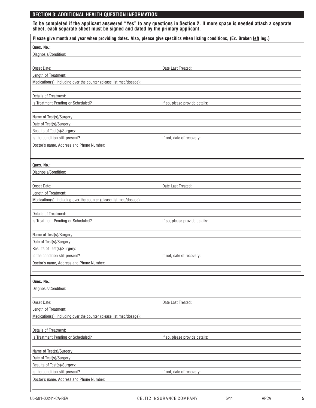## **SECTION 3: ADDITIONAL HEALTH QUESTION INFORMATION**

**To be completed if the applicant answered "Yes" to any questions in Section 2. If more space is needed attach a separate sheet, each separate sheet must be signed and dated by the primary applicant.**

| Please give month and year when providing dates. Also, please give specifics when listing conditions, (Ex. Broken left leg.) |                                |  |  |
|------------------------------------------------------------------------------------------------------------------------------|--------------------------------|--|--|
| Ques. No.:                                                                                                                   |                                |  |  |
| Diagnosis/Condition:                                                                                                         |                                |  |  |
|                                                                                                                              |                                |  |  |
| Onset Date:                                                                                                                  | Date Last Treated:             |  |  |
| Length of Treatment:                                                                                                         |                                |  |  |
| Medication(s), including over the counter (please list med/dosage):                                                          |                                |  |  |
|                                                                                                                              |                                |  |  |
| Details of Treatment:                                                                                                        |                                |  |  |
| Is Treatment Pending or Scheduled?                                                                                           | If so, please provide details: |  |  |
| Name of Test(s)/Surgery:                                                                                                     |                                |  |  |
| Date of Test(s)/Surgery:                                                                                                     |                                |  |  |
| Results of Test(s)/Surgery:                                                                                                  |                                |  |  |
| Is the condition still present?                                                                                              | If not, date of recovery:      |  |  |
| Doctor's name, Address and Phone Number:                                                                                     |                                |  |  |
|                                                                                                                              |                                |  |  |
|                                                                                                                              |                                |  |  |
| Ques. No.:                                                                                                                   |                                |  |  |
| Diagnosis/Condition:                                                                                                         |                                |  |  |
|                                                                                                                              |                                |  |  |
| Onset Date:                                                                                                                  | Date Last Treated:             |  |  |
| Length of Treatment:                                                                                                         |                                |  |  |
| Medication(s), including over the counter (please list med/dosage):                                                          |                                |  |  |
|                                                                                                                              |                                |  |  |
| Details of Treatment:                                                                                                        |                                |  |  |
| Is Treatment Pending or Scheduled?                                                                                           | If so, please provide details: |  |  |
| Name of Test(s)/Surgery:                                                                                                     |                                |  |  |
| Date of Test(s)/Surgery:                                                                                                     |                                |  |  |
| Results of Test(s)/Surgery:                                                                                                  |                                |  |  |
| Is the condition still present?                                                                                              | If not, date of recovery:      |  |  |
| Doctor's name, Address and Phone Number:                                                                                     |                                |  |  |
|                                                                                                                              |                                |  |  |
|                                                                                                                              |                                |  |  |
| Ques. No.:                                                                                                                   |                                |  |  |
| Diagnosis/Condition:                                                                                                         |                                |  |  |
| Onset Date:                                                                                                                  | Date Last Treated:             |  |  |
| Length of Treatment:                                                                                                         |                                |  |  |
| Medication(s), including over the counter (please list med/dosage):                                                          |                                |  |  |
|                                                                                                                              |                                |  |  |
| Details of Treatment:                                                                                                        |                                |  |  |
| Is Treatment Pending or Scheduled?                                                                                           | If so, please provide details: |  |  |
|                                                                                                                              |                                |  |  |
| Name of Test(s)/Surgery:                                                                                                     |                                |  |  |
| Date of Test(s)/Surgery:                                                                                                     |                                |  |  |
| Results of Test(s)/Surgery:                                                                                                  |                                |  |  |
| Is the condition still present?                                                                                              | If not, date of recovery:      |  |  |
| Doctor's name, Address and Phone Number:                                                                                     |                                |  |  |
|                                                                                                                              |                                |  |  |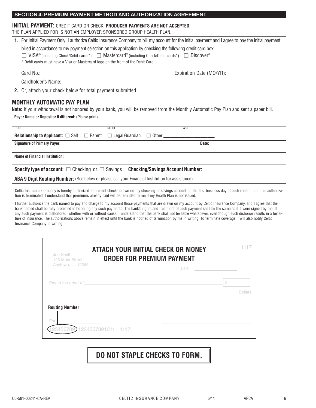## **SECTION 4: PREMIUM PAYMENT METHOD AND AUTHORIZATION AGREEMENT**

## **INITIAL PAYMENT:** CREDIT CARD OR CHECK, **PRODUCER PAYMENTS ARE NOT ACCEPTED**

THE PLAN APPLIED FOR IS NOT AN EMPLOYER SPONSORED GROUP HEALTH PLAN.

|                                                                                                                                      | 1. For Initial Payment Only: I authorize Celtic Insurance Company to bill my account for the initial payment and I agree to pay the initial payment |  |  |  |  |
|--------------------------------------------------------------------------------------------------------------------------------------|-----------------------------------------------------------------------------------------------------------------------------------------------------|--|--|--|--|
|                                                                                                                                      | billed in accordance to my payment selection on this application by checking the following credit card box:                                         |  |  |  |  |
|                                                                                                                                      | $\Box$ VISA® (including Check/Debit cards*) $\Box$ Mastercard® (including Check/Debit cards*) $\Box$ Discover®                                      |  |  |  |  |
|                                                                                                                                      | * Debit cards must have a Visa or Mastercard logo on the front of the Debit Card.                                                                   |  |  |  |  |
|                                                                                                                                      | Card No.:<br>Expiration Date (MO/YR):                                                                                                               |  |  |  |  |
|                                                                                                                                      | Cardholder's Name:                                                                                                                                  |  |  |  |  |
|                                                                                                                                      | 2. Or, attach your check below for total payment submitted.                                                                                         |  |  |  |  |
| <b>MONTHLY AUTOMATIC PAY PLAN</b>                                                                                                    |                                                                                                                                                     |  |  |  |  |
| Note: If your withdrawal is not honored by your bank, you will be removed from the Monthly Automatic Pay Plan and sent a paper bill. |                                                                                                                                                     |  |  |  |  |
|                                                                                                                                      | Payor Name or Depositor if different: (Please print)                                                                                                |  |  |  |  |

| <b>FIRST</b>                                                                                     | <b>MIDDLE</b> |                                         | LAST |       |  |
|--------------------------------------------------------------------------------------------------|---------------|-----------------------------------------|------|-------|--|
| <b>Relationship to Applicant:</b> $\Box$ Self $\Box$ Parent                                      |               | $\Box$ Legal Guardian $\Box$ Other      |      |       |  |
| <b>Signature of Primary Payor:</b>                                                               |               |                                         |      | Date: |  |
|                                                                                                  |               |                                         |      |       |  |
| <b>Name of Financial Institution:</b>                                                            |               |                                         |      |       |  |
|                                                                                                  |               |                                         |      |       |  |
| <b>Specify type of account:</b> $\Box$ Checking or $\Box$ Savings                                |               | <b>Checking/Savings Account Number:</b> |      |       |  |
| ABA 9 Digit Routing Number: (See below or please call your Financial Institution for assistance) |               |                                         |      |       |  |

Celtic Insurance Company is hereby authorized to present checks drawn on my checking or savings account on the first business day of each month, until this authorization is terminated. I understand that premiums already paid will be refunded to me if my Health Plan is not issued.

I further authorize the bank named to pay and charge to my account those payments that are drawn on my account by Celtic Insurance Company, and I agree that the bank named shall be fully protected in honoring any such payments. The bank's rights and treatment of each payment shall be the same as if it were signed by me. If any such payment is dishonored, whether with or without cause, I understand that the bank shall not be liable whatsoever, even though such dishonor results in a forfeiture of insurance. The authorizations above remain in effect until the bank is notified of termination by me in writing. To terminate coverage, I will also notify Celtic Insurance Company in writing.

| Joe Smith<br>123 Main Street<br>Anytown, IL 12345 | ATTACH YOUR INITIAL CHECK OR MONEY<br><b>ORDER FOR PREMIUM PAYMENT</b><br>Date | 1117                 |
|---------------------------------------------------|--------------------------------------------------------------------------------|----------------------|
|                                                   |                                                                                | \$<br><b>Dollars</b> |
| <b>Routing Number</b><br>For                      | 1234567891011 1117                                                             |                      |

# **DO NOT STAPLE CHECKS TO FORM.**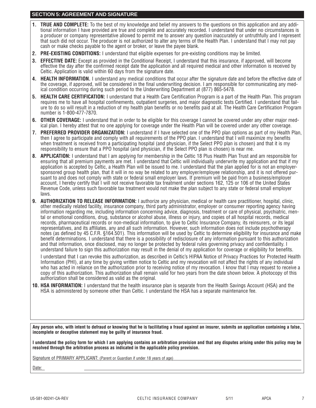## **SECTION 5: AGREEMENT AND SIGNATURE**

- **1. TRUE AND COMPLETE:** To the best of my knowledge and belief my answers to the questions on this application and any additional information I have provided are true and complete and accurately recorded. I under stand that under no circumstances is a producer or company representative allowed to permit me to answer any question inaccurately or untruthfully and I represent that such did not occur. The producer is not authorized to alter any terms of the Health Plan. I understand that I may not pay cash or make checks payable to the agent or broker, or leave the payee blank.
- **2. PRE-EXISTING CONDITIONS:** I understand that eligible expenses for pre-existing conditions may be limited.
- **3. EFFECTIVE DATE:** Except as provided in the Conditional Receipt, I understand that this insurance, if approved, will become effective the day after the confirmed receipt date the application and all required medical and other information is received by Celtic. Application is valid within 60 days from the signature date.
- **4. HEALTH INFORMATION.** I understand any medical conditions that occur after the signature date and before the effective date of the coverage, if approved, will be considered in the final underwriting decision. I am responsible for communicating any medical condition occurring during such period to the Underwriting Department at (877) 865-5478.
- **5. HEALTH CARE CERTIFICATION:** I understand that a Health Care Certification Program is a part of the Health Plan. This program requires me to have all hospital confinements, outpatient surgeries, and major diagnostic tests Certified. I understand that failure to do so will result in a reduction of my health plan benefits or no benefits paid at all. The Health Care Certification Program number is 1-800-477-7870.
- **6. OTHER COVERAGE:** I understand that in order to be eligible for this coverage I cannot be covered under any other major medical plan. I hereby attest that no one applying for coverage under the Health Plan will be covered under any other coverage.
- **7. PREFERRED PROVIDER ORGANIZATION:** I understand if I have selected one of the PPO plan options as part of my Health Plan, then I agree to participate and comply with all requirements of the PPO plan. I understand that I will maximize my benefits when treatment is received from a participating hospital (and physician, if the Select PPO plan is chosen) and that it is my responsibility to ensure that a PPO hospital (and physician, if the Select PPO plan is chosen) is near me.
- **8. APPLICATION:** I understand that I am applying for membership in the Celtic 18 Plus Health Plan Trust and am responsible for ensuring that all premium payments are met. I understand that Celtic will individually underwrite my application and that if my application is accepted by Celtic, a Health Plan will be issued to me. I understand that the plan applied for is not an employersponsored group health plan, that it will in no way be related to any employer/employee relationship, and it is not offered pursuant to and does not comply with state or federal small employer laws. If premium will be paid from a business/employer account, I hereby certify that I will not receive favorable tax treatment under sections 162, 125 or 106 of the United States Revenue Code, unless such favorable tax treatment would not make the plan subject to any state or federal small employer laws.
- **9. AUTHORIZATION TO RELEASE INFORMATION:** I authorize any physician, medical or health care practitioner, hospital, clinic, other medically related facility, insurance company, third party administrator, employer or consumer reporting agency having information regarding me, including information concerning advice, diagnosis, treatment or care of physical, psychiatric, mental or emotional conditions, drug, substance or alcohol abuse, illness or injury, and copies of all hospital records, medical records, pharmaceutical records or non-medical information, to give to Celtic Insurance Company, its reinsurers, or its legal representatives, and its affiliates, any and all such information. However, such information does not include psychotherapy notes (as defined by 45 C.F.R. §164.501). This information will be used by Celtic to determine eligibility for insurance and make benefit determinations. I understand that there is a possibility of redisclosure of any information pursuant to this authorization and that information, once disclosed, may no longer be protected by federal rules governing privacy and confidentiality. I understand failure to sign this authorization may result in the denial of my application for coverage or eligibility for benefits.

I understand that I can revoke this authorization, as described in Celtic's HIPAA Notice of Privacy Practices for Protected Health Information (PHI), at any time by giving written notice to Celtic and my revocation will not affect the rights of any individual who has acted in reliance on the authorization prior to receiving notice of my revocation. I know that I may request to receive a copy of this authorization. This authorization shall remain valid for two years from the date shown below. A photocopy of this authorization shall be considered as valid as the original.

**10. HSA INFORMATION:** I understand that the health insurance plan is separate from the Health Savings Account (HSA) and the HSA is administered by someone other than Celtic. I understand the HSA has a separate maintenance fee.

**Any person who, with intent to defraud or knowing that he is facilitating a fraud against an insurer, submits an application containing a false, incomplete or deceptive statement may be guilty of insurance fraud.**

**I understand the policy form for which I am applying contains an arbitration provision and that any disputes arising under this policy may be resolved through the arbitration process as indicated in the applicable policy provision.**

Signature of PRIMARY APPLICANT: (Parent or Guardian if under 18 years of age)

Date: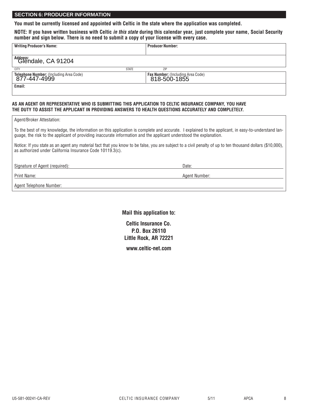## **SECTION 6: PRODUCER INFORMATION**

**You must be currently licensed and appointed with Celtic in the state where the application was completed.**

**NOTE: If you have written business with Celtic** *in this state* **during this calendar year, just complete your name, Social Security number and sign below. There is no need to submit a copy of your license with every case.**

| <b>Writing Producer's Name:</b>                         |              | <b>Producer Number:</b>                           |
|---------------------------------------------------------|--------------|---------------------------------------------------|
|                                                         |              |                                                   |
| Address:<br>Glendale, CA 91204                          |              |                                                   |
| <b>CITY</b>                                             | <b>STATE</b> | <b>ZIP</b>                                        |
| Telephone Number: (Including Area Code)<br>877-447-4999 |              | Fax Number: (Including Area Code)<br>818-500-1855 |
| Email:                                                  |              |                                                   |

#### **AS AN AGENT OR REPRESENTATIVE WHO IS SUBMITTING THIS APPLICATION TO CELTIC INSURANCE COMPANY, YOU HAVE THE DUTY TO ASSIST THE APPLICANT IN PROVIDING ANSWERS TO HEALTH QUESTIONS ACCURATELY AND COMPLETELY.**

Agent/Broker Attestation:

To the best of my knowledge, the information on this application is complete and accurate. I explained to the applicant, in easy-to-understand language, the risk to the applicant of providing inaccurate information and the applicant understood the explanation.

Notice: If you state as an agent any material fact that you know to be false, you are subject to a civil penalty of up to ten thousand dollars (\$10,000), as authorized under California Insurance Code 10119.3(c).

Signature of Agent (required): Date: Date: Date: Date: Date: Date: Date: Date: Date: Date: Date: Date: Date: Date: Date: Date: Date: Date: Date: Date: Date: Date: Date: Date: Date: Date: Date: Date: Date: Date: Date: Date:

Print Name: Agent Number: Agent Number: Agent Number: Agent Number: Agent Number: Agent Number: Agent Number: Agent Number: Agent Number: Agent Number: Agent Number: Agent Number: Agent Number: Agent Number: Agent Number:

Agent Telephone Number:

**Mail this application to:** 

**Celtic Insurance Co. P.O. Box 26110 Little Rock, AR 72221**

**www.celtic-net.com**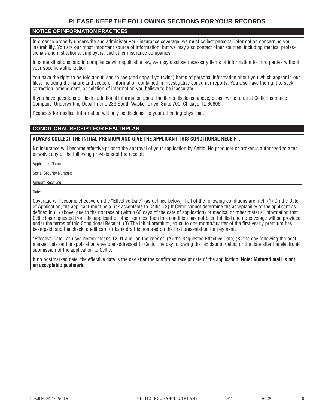# **PLEASE KEEP THE FOLLOWING SECTIONS FOR YOUR RECORDS**

## **NOTICE OF INFORMATION PRACTICES**

In order to properly underwrite and administer your insurance coverage, we must collect personal information concerning your insurability. You are our most important source of information, but we may also contact other sources, including medical professionals and institutions, employers, and other insurance companies.

In some situations, and in compliance with applicable law, we may disclose necessary items of information to third parties without your specific authorization.

You have the right to be told about, and to see (and copy if you wish) items of personal information about you which appear in our files, including the nature and scope of information contained in investigative consumer reports. You also have the right to seek correction, amendment, or deletion of information you believe to be inaccurate.

If you have questions or desire additional information about the items disclosed above, please write to us at Celtic Insurance Company, Underwriting Department, 233 South Wacker Drive, Suite 700, Chicago, IL 60606.

Requests for medical information will only be disclosed to your attending physician.

#### **CONDITIONAL RECEIPT FOR HEALTHPLAN**

#### **ALWAYS COLLECT THE INITIAL PREMIUM AND GIVE THE APPLICANT THIS CONDITIONAL RECEIPT.**

No insurance will become effective prior to the approval of your application by Celtic. No producer or broker is authorized to alter or waive any of the following provisions of the receipt:

Applicant's Name:

Social Security Number:

Amount Received:

Date:

Coverage will become effective on the "Effective Date" (as defined below) if all of the following conditions are met: (1) On the Date of Application, the applicant must be a risk acceptable to Celtic. (2) If Celtic cannot determine the acceptability of the applicant as defined in (1) above, due to the nonreceipt (within 60 days of the date of application) of medical or other material information that Celtic has requested from the applicant or other sources; then this condition has not been fulfilled and no coverage will be provided under the terms of this Conditional Receipt. (3) The initial premium, equal to one month/quarter of the first yearly premium has been paid, and the check, credit card or bank draft is honored on the first presentation for payment.

"Effective Date'' as used herein means 12:01 a.m. on the later of: (A) the Requested Effective Date; (B) the day following the postmarked date on the application envelope addressed to Celtic; the day following the fax date to Celtic; or the date after the electronic submission of the application to Celtic.

If no postmarked date, the effective date is the day after the confirmed receipt date of the application. **Note: Metered mail is not an acceptable postmark.**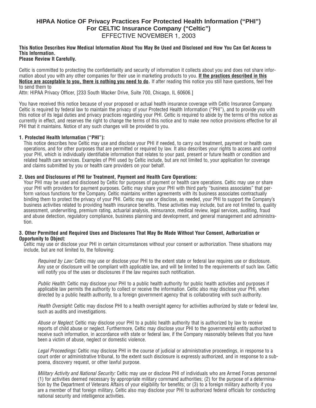# **HIPAA Notice OF Privacy Practices For Protected Health Information ("PHI") For CELTIC Insurance Company ("Celtic")** EFFECTIVE NOVEMBER 1, 2003

#### **This Notice Describes How Medical Information About You May Be Used and Disclosed and How You Can Get Access to This Information. Please Review It Carefully.**

Celtic is committed to protecting the confidentiality and security of information it collects about you and does not share information about you with any other companies for their use in marketing products to you. **If the practices described in this Notice are acceptable to you, there is nothing you need to do.** If after reading this notice you still have questions, feel free to send them to

Attn: HIPAA Privacy Officer, [233 South Wacker Drive, Suite 700, Chicago, IL 60606.]

You have received this notice because of your proposed or actual health insurance coverage with Celtic Insurance Company. Celtic is required by federal law to maintain the privacy of your Protected Health Information ("PHI"), and to provide you with this notice of its legal duties and privacy practices regarding your PHI. Celtic is required to abide by the terms of this notice as currently in effect, and reserves the right to change the terms of this notice and to make new notice provisions effective for all PHI that it maintains. Notice of any such changes will be provided to you.

#### **1. Protected Health Information ("PHI"):**

This notice describes how Celtic may use and disclose your PHI if needed, to carry out treatment, payment or health care operations, and for other purposes that are permitted or required by law. It also describes your rights to access and control your PHI, which is individually identifiable information that relates to your past, present or future health or condition and related health care services. Examples of PHI used by Celtic include, but are not limited to, your application for coverage and claims submitted by you or health care providers on your behalf.

#### **2. Uses and Disclosures of PHI for Treatment, Payment and Health Care Operations:**

Your PHI may be used and disclosed by Celtic for purposes of payment or health care operations. Celtic may use or share your PHI with providers for payment purposes. Celtic may share your PHI with third party "business associates" that perform various functions for the Company. Celtic maintains written agreements with its business associates contractually binding them to protect the privacy of your PHI. Celtic may use or disclose, as needed, your PHI to support the Company's business activities related to providing health insurance benefits. These activities may include, but are not limited to, quality assessment, underwriting, premium rating, actuarial analysis, reinsurance, medical review, legal services, auditing, fraud and abuse detection, regulatory compliance, business planning and development, and general management and administration.

#### **3. Other Permitted and Required Uses and Disclosures That May Be Made Without Your Consent, Authorization or Opportunity to Object:**

Celtic may use or disclose your PHI in certain circumstances without your consent or authorization. These situations may include, but are not limited to, the following:

*Required by Law:* Celtic may use or disclose your PHI to the extent state or federal law requires use or disclosure. Any use or disclosure will be compliant with applicable law, and will be limited to the requirements of such law. Celtic will notify you of the uses or disclosures if the law requires such notification.

*Public Health:* Celtic may disclose your PHI to a public health authority for public health activities and purposes if applicable law permits the authority to collect or receive the information. Celtic also may disclose your PHI, when directed by a public health authority, to a foreign government agency that is collaborating with such authority.

*Health Oversight:* Celtic may disclose PHI to a health oversight agency for activities authorized by state or federal law, such as audits and investigations.

*Abuse or Neglect:* Celtic may disclose your PHI to a public health authority that is authorized by law to receive reports of child abuse or neglect. Furthermore, Celtic may disclose your PHI to the governmental entity authorized to receive such information, in accordance with state or federal law, if the Company reasonably believes that you have been a victim of abuse, neglect or domestic violence.

*Legal Proceedings:* Celtic may disclose PHI in the course of judicial or administrative proceedings, in response to a court order or administrative tribunal, to the extent such disclosure is expressly authorized, and in response to a subpoena, discovery request, or other lawful purpose.

*Military Activity and National Security:* Celtic may use or disclose PHI of individuals who are Armed Forces personnel (1) for activities deemed necessary by appropriate military command authorities; (2) for the purpose of a determination by the Department of Veterans Affairs of your eligibility for benefits; or (3) to a foreign military authority if you are a member of that foreign military. Celtic also may disclose your PHI to authorized federal officials for conducting national security and intelligence activities.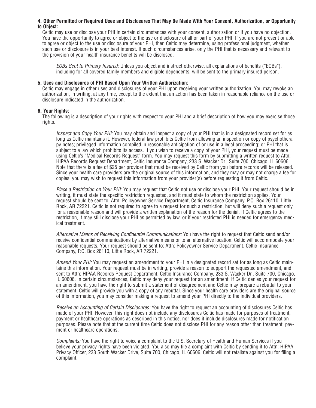#### **4. Other Permitted or Required Uses and Disclosures That May Be Made With Your Consent, Authorization, or Opportunity to Object:**

Celtic may use or disclose your PHI in certain circumstances with your consent, authorization or if you have no objection. You have the opportunity to agree or object to the use or disclosure of all or part of your PHI. If you are not present or able to agree or object to the use or disclosure of your PHI, then Celtic may determine, using professional judgment, whether such use or disclosure is in your best interest. If such circumstances arise, only the PHI that is necessary and relevant to the provision of your health insurance benefits will be disclosed.

*EOBs Sent to Primary Insured:* Unless you object and instruct otherwise, all explanations of benefits ("EOBs"), including for all covered family members and eligible dependents, will be sent to the primary insured person.

#### **5. Uses and Disclosures of PHI Based Upon Your Written Authorization:**

Celtic may engage in other uses and disclosures of your PHI upon receiving your written authorization. You may revoke an authorization, in writing, at any time, except to the extent that an action has been taken in reasonable reliance on the use or disclosure indicated in the authorization.

#### **6. Your Rights:**

The following is a description of your rights with respect to your PHI and a brief description of how you may exercise those rights.

*Inspect and Copy Your PHI:* You may obtain and inspect a copy of your PHI that is in a designated record set for as long as Celtic maintains it. However, federal law prohibits Celtic from allowing an inspection or copy of psychotherapy notes; privileged information compiled in reasonable anticipation of or use in a legal proceeding; or PHI that is subject to a law which prohibits its access. If you wish to receive a copy of your PHI, your request must be made using Celtic's "Medical Records Request" form. You may request this form by submitting a written request to Attn: HIPAA Records Request Department, Celtic Insurance Company, 233 S. Wacker Dr., Suite 700, Chicago, IL 60606. Note that there is a fee of \$25 per provider that must be received by Celtic from you before records will be released. Since your health care providers are the original source of this information, and they may or may not charge a fee for copies, you may wish to request this information from your provider(s) before requesting it from Celtic.

*Place a Restriction on Your PHI:* You may request that Celtic not use or disclose your PHI. Your request should be in writing, it must state the specific restriction requested, and it must state to whom the restriction applies. Your request should be sent to: Attn: Policyowner Service Department, Celtic Insurance Company, P.O. Box 26110, Little Rock, AR 72221. Celtic is not required to agree to a request for such a restriction, but will deny such a request only for a reasonable reason and will provide a written explanation of the reason for the denial. If Celtic agrees to the restriction, it may still disclose your PHI as permitted by law, or if your restricted PHI is needed for emergency medical treatment.

*Alternative Means of Receiving Confidential Communications:* You have the right to request that Celtic send and/or receive confidential communications by alternative means or to an alternative location. Celtic will accommodate your reasonable requests. Your request should be sent to: Attn: Policyowner Service Department, Celtic Insurance Company, P.O. Box 26110, Little Rock, AR 72221.

*Amend Your PHI:* You may request an amendment to your PHI in a designated record set for as long as Celtic maintains this information. Your request must be in writing, provide a reason to support the requested amendment, and sent to Attn: HIPAA Records Request Department, Celtic Insurance Company, 233 S. Wacker Dr., Suite 700, Chicago, IL 60606. In certain circumstances, Celtic may deny your request for an amendment. If Celtic denies your request for an amendment, you have the right to submit a statement of disagreement and Celtic may prepare a rebuttal to your statement. Celtic will provide you with a copy of any rebuttal. Since your health care providers are the original source of this information, you may consider making a request to amend your PHI directly to the individual providers.

*Receive an Accounting of Certain Disclosures:* You have the right to request an accounting of disclosures Celtic has made of your PHI. However, this right does not include any disclosures Celtic has made for purposes of treatment, payment or healthcare operations as described in this notice, nor does it include disclosures made for notification purposes. Please note that at the current time Celtic does not disclose PHI for any reason other than treatment, payment or healthcare operations.

*Complaints:* You have the right to voice a complaint to the U.S. Secretary of Health and Human Services if you believe your privacy rights have been violated. You also may file a complaint with Celtic by sending it to Attn: HIPAA Privacy Officer, 233 South Wacker Drive, Suite 700, Chicago, IL 60606. Celtic will not retaliate against you for filing a complaint.